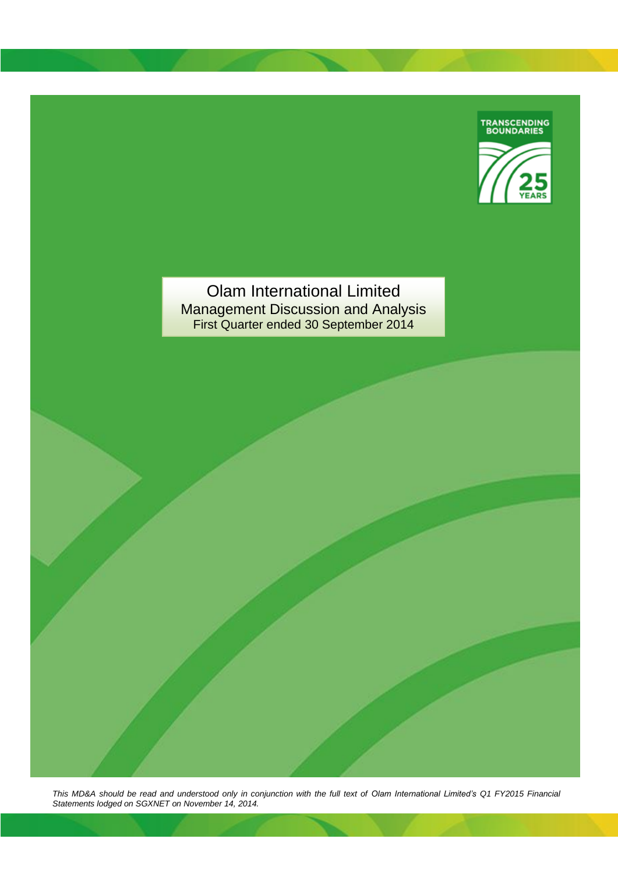

Olam International Limited Management Discussion and Analysis First Quarter ended 30 September 2014

*This MD&A should be read and understood only in conjunction with the full text of Olam International Limited's Q1 FY2015 Financial Statements lodged on SGXNET on November 14, 2014.*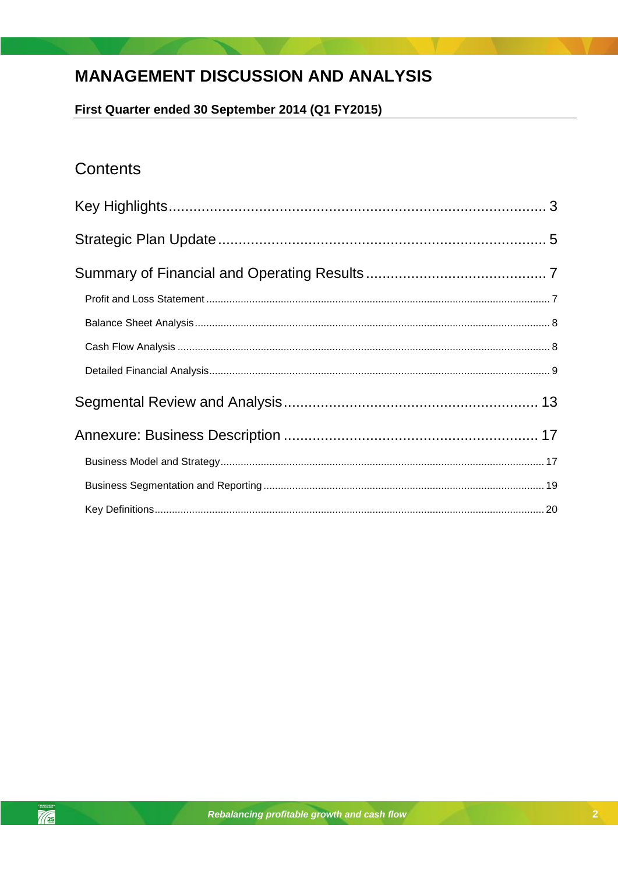# **MANAGEMENT DISCUSSION AND ANALYSIS**

First Quarter ended 30 September 2014 (Q1 FY2015)

# Contents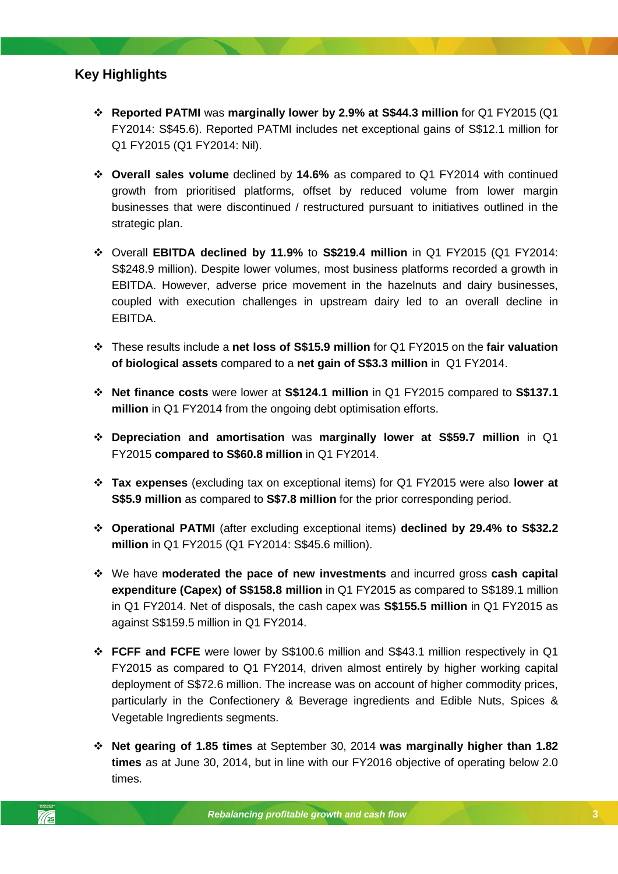## <span id="page-2-0"></span>**Key Highlights**

- **Reported PATMI** was **marginally lower by 2.9% at S\$44.3 million** for Q1 FY2015 (Q1 FY2014: S\$45.6). Reported PATMI includes net exceptional gains of S\$12.1 million for Q1 FY2015 (Q1 FY2014: Nil).
- **Overall sales volume** declined by **14.6%** as compared to Q1 FY2014 with continued growth from prioritised platforms, offset by reduced volume from lower margin businesses that were discontinued / restructured pursuant to initiatives outlined in the strategic plan.
- Overall **EBITDA declined by 11.9%** to **S\$219.4 million** in Q1 FY2015 (Q1 FY2014: S\$248.9 million). Despite lower volumes, most business platforms recorded a growth in EBITDA. However, adverse price movement in the hazelnuts and dairy businesses, coupled with execution challenges in upstream dairy led to an overall decline in EBITDA.
- These results include a **net loss of S\$15.9 million** for Q1 FY2015 on the **fair valuation of biological assets** compared to a **net gain of S\$3.3 million** in Q1 FY2014.
- **Net finance costs** were lower at **S\$124.1 million** in Q1 FY2015 compared to **S\$137.1 million** in Q1 FY2014 from the ongoing debt optimisation efforts.
- **Depreciation and amortisation** was **marginally lower at S\$59.7 million** in Q1 FY2015 **compared to S\$60.8 million** in Q1 FY2014.
- $\cdot$  **Tax expenses** (excluding tax on exceptional items) for Q1 FY2015 were also lower at **S\$5.9 million** as compared to **S\$7.8 million** for the prior corresponding period.
- **Operational PATMI** (after excluding exceptional items) **declined by 29.4% to S\$32.2 million** in Q1 FY2015 (Q1 FY2014: S\$45.6 million).
- We have **moderated the pace of new investments** and incurred gross **cash capital expenditure (Capex) of S\$158.8 million** in Q1 FY2015 as compared to S\$189.1 million in Q1 FY2014. Net of disposals, the cash capex was **S\$155.5 million** in Q1 FY2015 as against S\$159.5 million in Q1 FY2014.
- **FCFF and FCFE** were lower by S\$100.6 million and S\$43.1 million respectively in Q1 FY2015 as compared to Q1 FY2014, driven almost entirely by higher working capital deployment of S\$72.6 million. The increase was on account of higher commodity prices, particularly in the Confectionery & Beverage ingredients and Edible Nuts, Spices & Vegetable Ingredients segments.
- **Net gearing of 1.85 times** at September 30, 2014 **was marginally higher than 1.82 times** as at June 30, 2014, but in line with our FY2016 objective of operating below 2.0 times.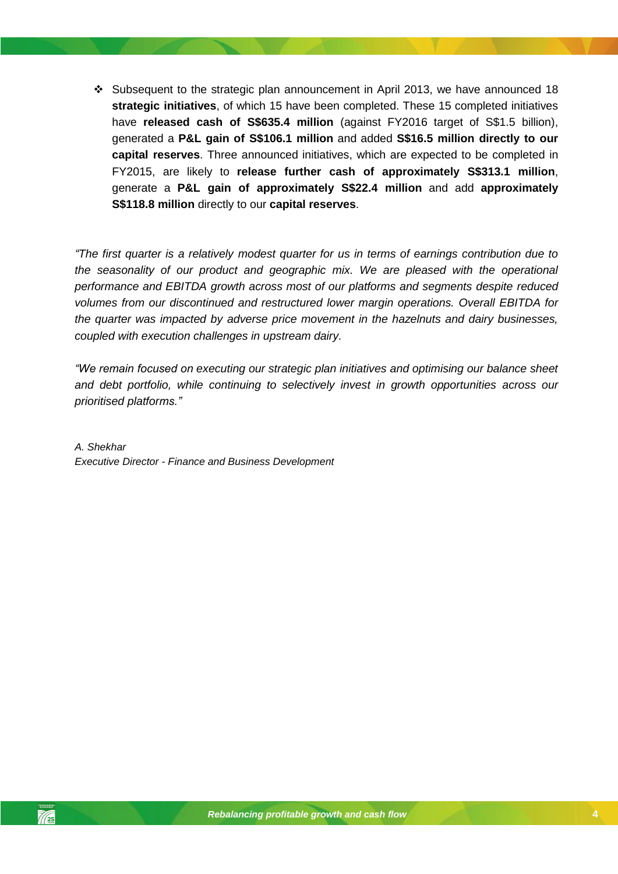$\cdot$  Subsequent to the strategic plan announcement in April 2013, we have announced 18 **strategic initiatives**, of which 15 have been completed. These 15 completed initiatives have **released cash of S\$635.4 million** (against FY2016 target of S\$1.5 billion), generated a **P&L gain of S\$106.1 million** and added **S\$16.5 million directly to our capital reserves**. Three announced initiatives, which are expected to be completed in FY2015, are likely to **release further cash of approximately S\$313.1 million**, generate a **P&L gain of approximately S\$22.4 million** and add **approximately S\$118.8 million** directly to our **capital reserves**.

*"The first quarter is a relatively modest quarter for us in terms of earnings contribution due to the seasonality of our product and geographic mix. We are pleased with the operational performance and EBITDA growth across most of our platforms and segments despite reduced volumes from our discontinued and restructured lower margin operations. Overall EBITDA for the quarter was impacted by adverse price movement in the hazelnuts and dairy businesses, coupled with execution challenges in upstream dairy.*

*"We remain focused on executing our strategic plan initiatives and optimising our balance sheet and debt portfolio, while continuing to selectively invest in growth opportunities across our prioritised platforms."* 

*A. Shekhar Executive Director - Finance and Business Development*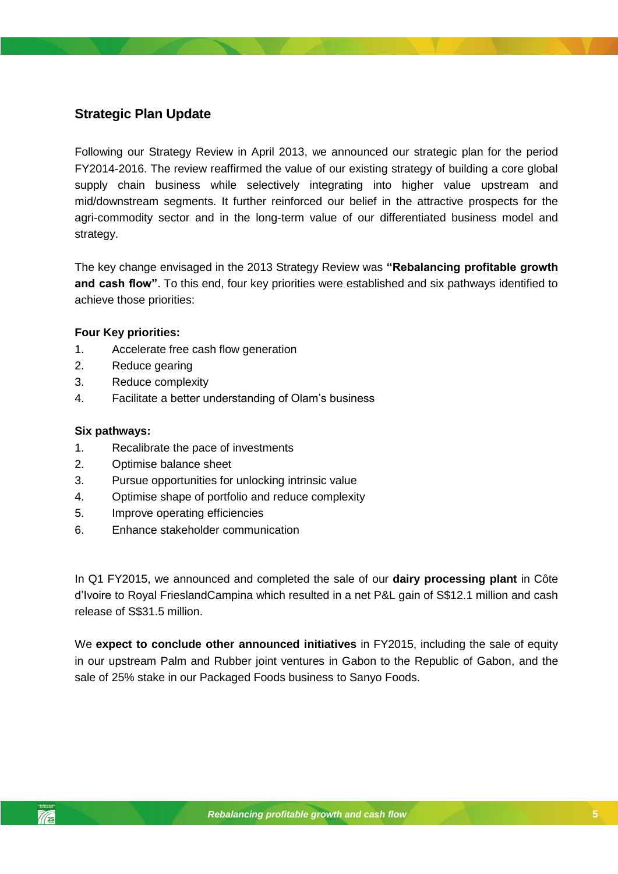# <span id="page-4-0"></span>**Strategic Plan Update**

Following our Strategy Review in April 2013, we announced our strategic plan for the period FY2014-2016. The review reaffirmed the value of our existing strategy of building a core global supply chain business while selectively integrating into higher value upstream and mid/downstream segments. It further reinforced our belief in the attractive prospects for the agri-commodity sector and in the long-term value of our differentiated business model and strategy.

The key change envisaged in the 2013 Strategy Review was **"Rebalancing profitable growth**  and cash flow". To this end, four key priorities were established and six pathways identified to achieve those priorities:

#### **Four Key priorities:**

- 1. Accelerate free cash flow generation
- 2. Reduce gearing
- 3. Reduce complexity
- 4. Facilitate a better understanding of Olam's business

### **Six pathways:**

- 1. Recalibrate the pace of investments
- 2. Optimise balance sheet
- *Rebalancing profitable growth and cash flow* 3. Pursue opportunities for unlocking intrinsic value
- 4. Optimise shape of portfolio and reduce complexity
- 5. Improve operating efficiencies
- 6. Enhance stakeholder communication

In Q1 FY2015, we announced and completed the sale of our **dairy processing plant** in Côte d'Ivoire to Royal FrieslandCampina which resulted in a net P&L gain of S\$12.1 million and cash release of S\$31.5 million.

We **expect to conclude other announced initiatives** in FY2015, including the sale of equity in our upstream Palm and Rubber joint ventures in Gabon to the Republic of Gabon, and the sale of 25% stake in our Packaged Foods business to Sanyo Foods.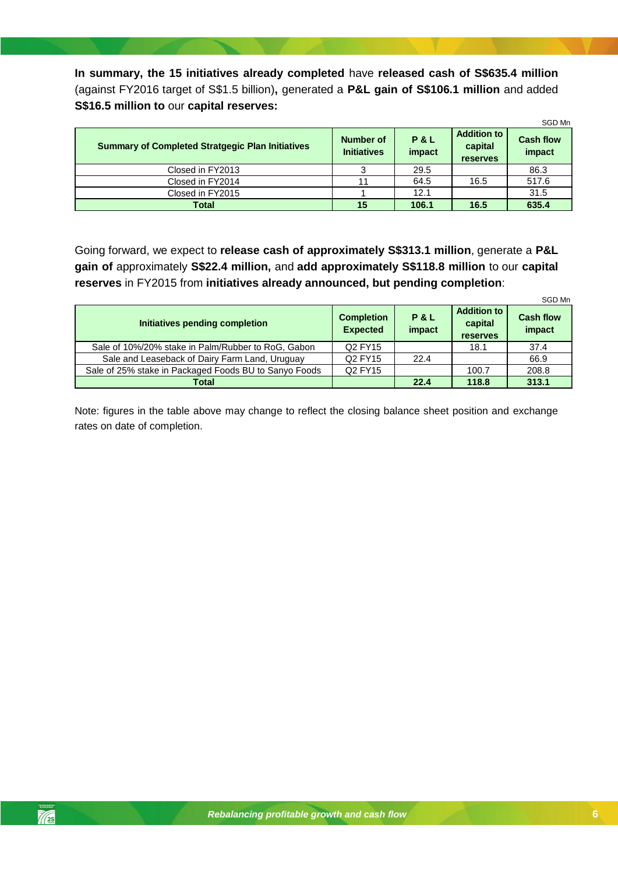**In summary, the 15 initiatives already completed** have **released cash of S\$635.4 million** (against FY2016 target of S\$1.5 billion)**,** generated a **P&L gain of S\$106.1 million** and added **S\$16.5 million to** our **capital reserves:**

|                                                         |                                        |                          |                                                  | SGD Mn                     |
|---------------------------------------------------------|----------------------------------------|--------------------------|--------------------------------------------------|----------------------------|
| <b>Summary of Completed Stratgegic Plan Initiatives</b> | <b>Number of</b><br><b>Initiatives</b> | <b>P&amp;L</b><br>impact | <b>Addition to</b><br>capital<br><b>reserves</b> | <b>Cash flow</b><br>impact |
| Closed in FY2013                                        |                                        | 29.5                     |                                                  | 86.3                       |
| Closed in FY2014                                        | 11                                     | 64.5                     | 16.5                                             | 517.6                      |
| Closed in FY2015                                        |                                        | 12.1                     |                                                  | 31.5                       |
| <b>Total</b>                                            | 15                                     | 106.1                    | 16.5                                             | 635.4                      |

Going forward, we expect to **release cash of approximately S\$313.1 million**, generate a **P&L gain of** approximately **S\$22.4 million,** and **add approximately S\$118.8 million** to our **capital reserves** in FY2015 from **initiatives already announced, but pending completion**:

|                                                       |                                      |                          |                                                  | SGD Mn                     |
|-------------------------------------------------------|--------------------------------------|--------------------------|--------------------------------------------------|----------------------------|
| Initiatives pending completion                        | <b>Completion</b><br><b>Expected</b> | <b>P&amp;L</b><br>impact | <b>Addition to</b><br>capital<br><b>reserves</b> | <b>Cash flow</b><br>impact |
| Sale of 10%/20% stake in Palm/Rubber to RoG, Gabon    | Q <sub>2</sub> FY <sub>15</sub>      |                          | 18.1                                             | 37.4                       |
| Sale and Leaseback of Dairy Farm Land, Uruguay        | Q <sub>2</sub> FY <sub>15</sub>      | 22.4                     |                                                  | 66.9                       |
| Sale of 25% stake in Packaged Foods BU to Sanyo Foods | Q2 FY15                              |                          | 100.7                                            | 208.8                      |
| Total                                                 |                                      | 22.4                     | 118.8                                            | 313.1                      |

Note: figures in the table above may change to reflect the closing balance sheet position and exchange rates on date of completion.

 $\frac{7}{25}$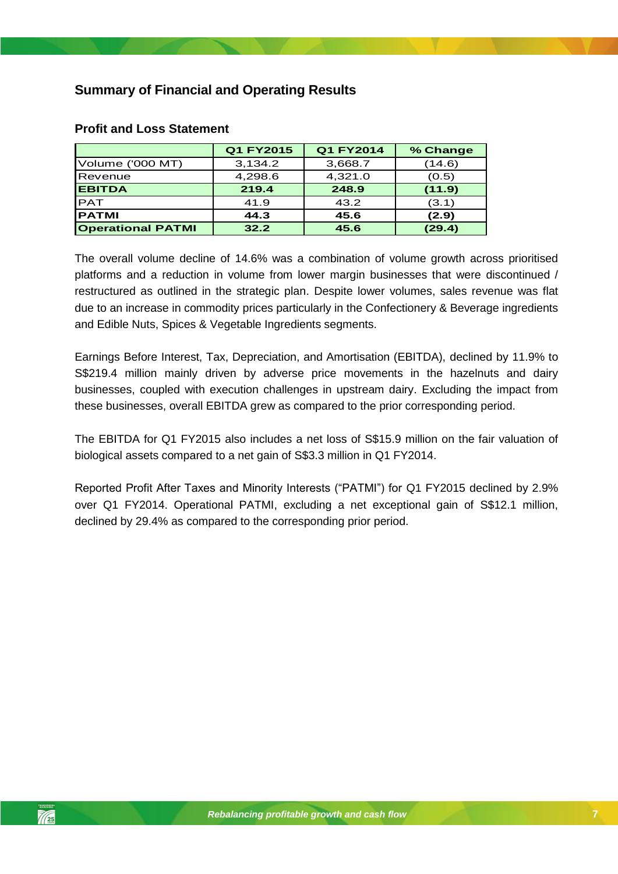# <span id="page-6-0"></span>**Summary of Financial and Operating Results**

|                          | Q1 FY2015 | Q1 FY2014 | % Change |
|--------------------------|-----------|-----------|----------|
| Volume ('000 MT)         | 3,134.2   | 3,668.7   | (14.6)   |
| Revenue                  | 4,298.6   | 4,321.0   | (0.5)    |
| <b>EBITDA</b>            | 219.4     | 248.9     | (11.9)   |
| <b>PAT</b>               | 41.9      | 43.2      | (3.1)    |
| <b>IPATMI</b>            | 44.3      | 45.6      | (2.9)    |
| <b>Operational PATMI</b> | 32.2      | 45.6      | (29.4)   |

### <span id="page-6-1"></span>**Profit and Loss Statement**

The overall volume decline of 14.6% was a combination of volume growth across prioritised platforms and a reduction in volume from lower margin businesses that were discontinued / restructured as outlined in the strategic plan. Despite lower volumes, sales revenue was flat due to an increase in commodity prices particularly in the Confectionery & Beverage ingredients and Edible Nuts, Spices & Vegetable Ingredients segments.

Earnings Before Interest, Tax, Depreciation, and Amortisation (EBITDA), declined by 11.9% to S\$219.4 million mainly driven by adverse price movements in the hazelnuts and dairy businesses, coupled with execution challenges in upstream dairy. Excluding the impact from these businesses, overall EBITDA grew as compared to the prior corresponding period.

The EBITDA for Q1 FY2015 also includes a net loss of S\$15.9 million on the fair valuation of biological assets compared to a net gain of S\$3.3 million in Q1 FY2014.

Reported Profit After Taxes and Minority Interests ("PATMI") for Q1 FY2015 declined by 2.9% over Q1 FY2014. Operational PATMI, excluding a net exceptional gain of S\$12.1 million, declined by 29.4% as compared to the corresponding prior period.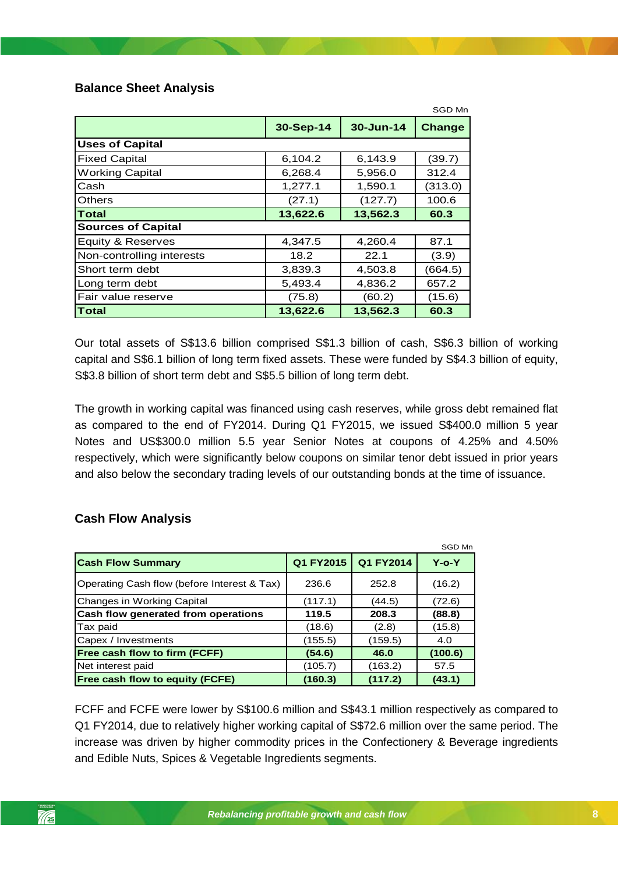## <span id="page-7-0"></span>**Balance Sheet Analysis**

|                           |           |           | SGD Mn  |  |  |  |
|---------------------------|-----------|-----------|---------|--|--|--|
|                           | 30-Sep-14 | 30-Jun-14 | Change  |  |  |  |
| <b>Uses of Capital</b>    |           |           |         |  |  |  |
| <b>Fixed Capital</b>      | 6,104.2   | 6,143.9   | (39.7)  |  |  |  |
| <b>Working Capital</b>    | 6,268.4   | 5,956.0   | 312.4   |  |  |  |
| Cash                      | 1,277.1   | 1,590.1   | (313.0) |  |  |  |
| <b>Others</b>             | (27.1)    | (127.7)   | 100.6   |  |  |  |
| <b>Total</b>              | 13,622.6  | 13,562.3  | 60.3    |  |  |  |
| <b>Sources of Capital</b> |           |           |         |  |  |  |
| Equity & Reserves         | 4,347.5   | 4,260.4   | 87.1    |  |  |  |
| Non-controlling interests | 18.2      | 22.1      | (3.9)   |  |  |  |
| Short term debt           | 3,839.3   | 4,503.8   | (664.5) |  |  |  |
| Long term debt            | 5,493.4   | 4,836.2   | 657.2   |  |  |  |
| Fair value reserve        | (75.8)    | (60.2)    | (15.6)  |  |  |  |
| Total                     | 13,622.6  | 13,562.3  | 60.3    |  |  |  |

Our total assets of S\$13.6 billion comprised S\$1.3 billion of cash, S\$6.3 billion of working capital and S\$6.1 billion of long term fixed assets. These were funded by S\$4.3 billion of equity, S\$3.8 billion of short term debt and S\$5.5 billion of long term debt.

*Rebalancing profitable growth and cash flow* The growth in working capital was financed using cash reserves, while gross debt remained flat as compared to the end of FY2014. During Q1 FY2015, we issued S\$400.0 million 5 year Notes and US\$300.0 million 5.5 year Senior Notes at coupons of 4.25% and 4.50% respectively, which were significantly below coupons on similar tenor debt issued in prior years and also below the secondary trading levels of our outstanding bonds at the time of issuance.

## <span id="page-7-1"></span>**Cash Flow Analysis**

|                                             |           |           | SGD Mn      |
|---------------------------------------------|-----------|-----------|-------------|
| <b>Cash Flow Summary</b>                    | Q1 FY2015 | Q1 FY2014 | $Y$ -o- $Y$ |
| Operating Cash flow (before Interest & Tax) | 236.6     | 252.8     | (16.2)      |
| Changes in Working Capital                  | (117.1)   | (44.5)    | (72.6)      |
| Cash flow generated from operations         | 119.5     | 208.3     | (88.8)      |
| Tax paid                                    | (18.6)    | (2.8)     | (15.8)      |
| Capex / Investments                         | (155.5)   | (159.5)   | 4.0         |
| Free cash flow to firm (FCFF)               | (54.6)    | 46.0      | (100.6)     |
| Net interest paid                           | (105.7)   | (163.2)   | 57.5        |
| <b>Free cash flow to equity (FCFE)</b>      | (160.3)   | (117.2)   | (43.1)      |

FCFF and FCFE were lower by S\$100.6 million and S\$43.1 million respectively as compared to Q1 FY2014, due to relatively higher working capital of S\$72.6 million over the same period. The increase was driven by higher commodity prices in the Confectionery & Beverage ingredients and Edible Nuts, Spices & Vegetable Ingredients segments.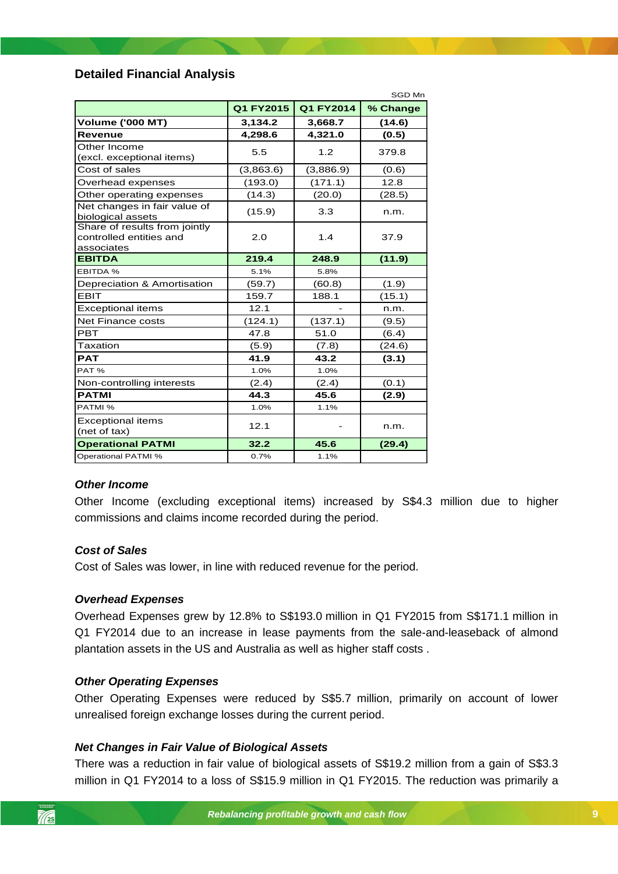## <span id="page-8-0"></span>**Detailed Financial Analysis**

|                                                                        |           |           | SGD Mn   |
|------------------------------------------------------------------------|-----------|-----------|----------|
|                                                                        | Q1 FY2015 | Q1 FY2014 | % Change |
| <b>Volume ('000 MT)</b>                                                | 3,134.2   | 3,668.7   | (14.6)   |
| <b>Revenue</b>                                                         | 4,298.6   | 4,321.0   | (0.5)    |
| Other Income<br>(excl. exceptional items)                              | 5.5       | 1.2       | 379.8    |
| Cost of sales                                                          | (3,863.6) | (3,886.9) | (0.6)    |
| Overhead expenses                                                      | (193.0)   | (171.1)   | 12.8     |
| Other operating expenses                                               | (14.3)    | (20.0)    | (28.5)   |
| Net changes in fair value of<br>biological assets                      | (15.9)    | 3.3       | n.m.     |
| Share of results from jointly<br>controlled entities and<br>associates | 2.0       | 1.4       | 37.9     |
| <b>EBITDA</b>                                                          | 219.4     | 248.9     | (11.9)   |
| EBITDA %                                                               | 5.1%      | 5.8%      |          |
| Depreciation & Amortisation                                            | (59.7)    | (60.8)    | (1.9)    |
| <b>EBIT</b>                                                            | 159.7     | 188.1     | (15.1)   |
| <b>Exceptional items</b>                                               | 12.1      |           | n.m.     |
| <b>Net Finance costs</b>                                               | (124.1)   | (137.1)   | (9.5)    |
| <b>PRT</b>                                                             | 47.8      | 51.0      | (6.4)    |
| Taxation                                                               | (5.9)     | (7.8)     | (24.6)   |
| <b>PAT</b>                                                             | 41.9      | 43.2      | (3.1)    |
| PAT%                                                                   | 1.0%      | 1.0%      |          |
| Non-controlling interests                                              | (2.4)     | (2.4)     | (0.1)    |
| <b>PATMI</b>                                                           | 44.3      | 45.6      | (2.9)    |
| PATMI %                                                                | 1.0%      | 1.1%      |          |
| <b>Exceptional items</b><br>(net of tax)                               | 12.1      |           | n.m.     |
| <b>Operational PATMI</b>                                               | 32.2      | 45.6      | (29.4)   |
| <b>Operational PATMI %</b>                                             | 0.7%      | 1.1%      |          |

#### *Other Income Rebalance growth and cash flow and cash flow*

Other Income (excluding exceptional items) increased by S\$4.3 million due to higher commissions and claims income recorded during the period.

#### *Cost of Sales*

Cost of Sales was lower, in line with reduced revenue for the period.

#### *Overhead Expenses*

Overhead Expenses grew by 12.8% to S\$193.0 million in Q1 FY2015 from S\$171.1 million in Q1 FY2014 due to an increase in lease payments from the sale-and-leaseback of almond plantation assets in the US and Australia as well as higher staff costs .

#### *Other Operating Expenses*

Other Operating Expenses were reduced by S\$5.7 million, primarily on account of lower unrealised foreign exchange losses during the current period.

#### *Net Changes in Fair Value of Biological Assets*

There was a reduction in fair value of biological assets of S\$19.2 million from a gain of S\$3.3 million in Q1 FY2014 to a loss of S\$15.9 million in Q1 FY2015. The reduction was primarily a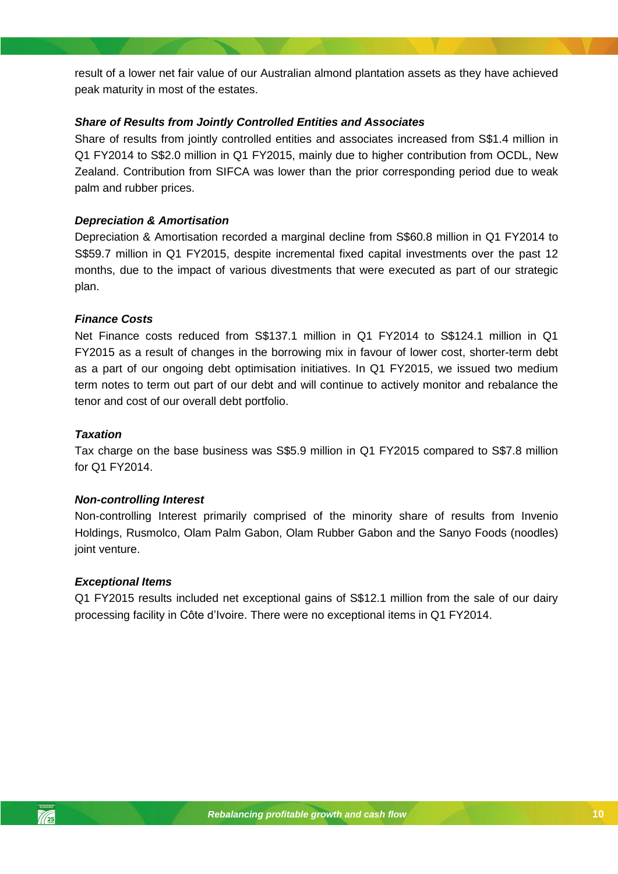result of a lower net fair value of our Australian almond plantation assets as they have achieved peak maturity in most of the estates.

### *Share of Results from Jointly Controlled Entities and Associates*

Share of results from jointly controlled entities and associates increased from S\$1.4 million in Q1 FY2014 to S\$2.0 million in Q1 FY2015, mainly due to higher contribution from OCDL, New Zealand. Contribution from SIFCA was lower than the prior corresponding period due to weak palm and rubber prices.

## *Depreciation & Amortisation*

Depreciation & Amortisation recorded a marginal decline from S\$60.8 million in Q1 FY2014 to S\$59.7 million in Q1 FY2015, despite incremental fixed capital investments over the past 12 months, due to the impact of various divestments that were executed as part of our strategic plan.

#### *Finance Costs*

Net Finance costs reduced from S\$137.1 million in Q1 FY2014 to S\$124.1 million in Q1 FY2015 as a result of changes in the borrowing mix in favour of lower cost, shorter-term debt as a part of our ongoing debt optimisation initiatives. In Q1 FY2015, we issued two medium term notes to term out part of our debt and will continue to actively monitor and rebalance the tenor and cost of our overall debt portfolio.

### *Taxation*

Tax charge on the base business was S\$5.9 million in Q1 FY2015 compared to S\$7.8 million for Q1 FY2014.

#### *Non-controlling Interest*

Non-controlling Interest primarily comprised of the minority share of results from Invenio Holdings, Rusmolco, Olam Palm Gabon, Olam Rubber Gabon and the Sanyo Foods (noodles) joint venture.

#### *Exceptional Items*

Q1 FY2015 results included net exceptional gains of S\$12.1 million from the sale of our dairy processing facility in Côte d'Ivoire. There were no exceptional items in Q1 FY2014.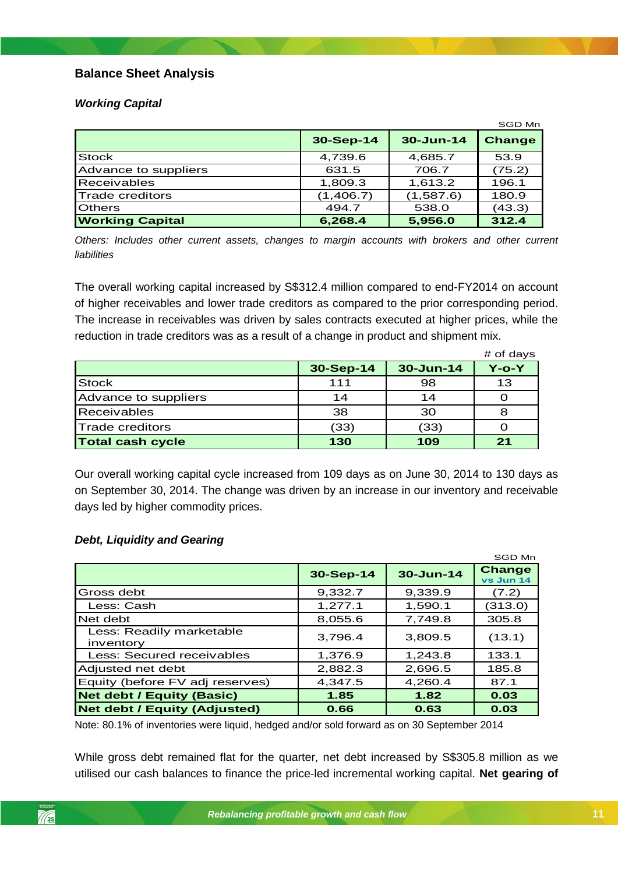## **Balance Sheet Analysis**

## *Working Capital*

|                        |           |               | SGD Mn        |
|------------------------|-----------|---------------|---------------|
|                        | 30-Sep-14 | $30 - Jun-14$ | <b>Change</b> |
| <b>Stock</b>           | 4,739.6   | 4,685.7       | 53.9          |
| Advance to suppliers   | 631.5     | 706.7         | (75.2)        |
| Receivables            | 1,809.3   | 1,613.2       | 196.1         |
| Trade creditors        | (1,406.7) | (1,587.6)     | 180.9         |
| <b>Others</b>          | 494.7     | 538.0         | (43.3)        |
| <b>Working Capital</b> | 6,268.4   | 5,956.0       | 312.4         |

*Others: Includes other current assets, changes to margin accounts with brokers and other current liabilities*

The overall working capital increased by S\$312.4 million compared to end-FY2014 on account of higher receivables and lower trade creditors as compared to the prior corresponding period. The increase in receivables was driven by sales contracts executed at higher prices, while the reduction in trade creditors was as a result of a change in product and shipment mix.

|                         |           |           | # of days    |
|-------------------------|-----------|-----------|--------------|
|                         | 30-Sep-14 | 30-Jun-14 | $Y$ -o- $Y$  |
| <b>Stock</b>            | 111       | 98        | 13           |
| Advance to suppliers    | 14        | 14        |              |
| <b>Receivables</b>      | 38        | 30        |              |
| <b>Trade creditors</b>  | (33)      | (33)      |              |
| <b>Total cash cycle</b> | 130       | 109       | $\mathbf{D}$ |

on September 30, 2014. The change was driven by an increase in our inventory and receivable Our overall working capital cycle increased from 109 days as on June 30, 2014 to 130 days as days led by higher commodity prices.

#### *Debt, Liquidity and Gearing*

|                                       |           |               | SGD Mn                     |
|---------------------------------------|-----------|---------------|----------------------------|
|                                       | 30-Sep-14 | $30 - Jun-14$ | <b>Change</b><br>vs Jun 14 |
| Gross debt                            | 9,332.7   | 9,339.9       | (7.2)                      |
| Less: Cash                            | 1,277.1   | 1,590.1       | (313.0)                    |
| Net debt                              | 8,055.6   | 7,749.8       | 305.8                      |
| Less: Readily marketable<br>inventory | 3.796.4   | 3,809.5       | (13.1)                     |
| Less: Secured receivables             | 1,376.9   | 1,243.8       | 133.1                      |
| Adjusted net debt                     | 2,882.3   | 2,696.5       | 185.8                      |
| Equity (before FV adj reserves)       | 4,347.5   | 4,260.4       | 87.1                       |
| <b>Net debt / Equity (Basic)</b>      | 1.85      | 1.82          | 0.03                       |
| <b>Net debt / Equity (Adjusted)</b>   | 0.66      | 0.63          | 0.03                       |

Note: 80.1% of inventories were liquid, hedged and/or sold forward as on 30 September 2014

While gross debt remained flat for the quarter, net debt increased by S\$305.8 million as we utilised our cash balances to finance the price-led incremental working capital. **Net gearing of**

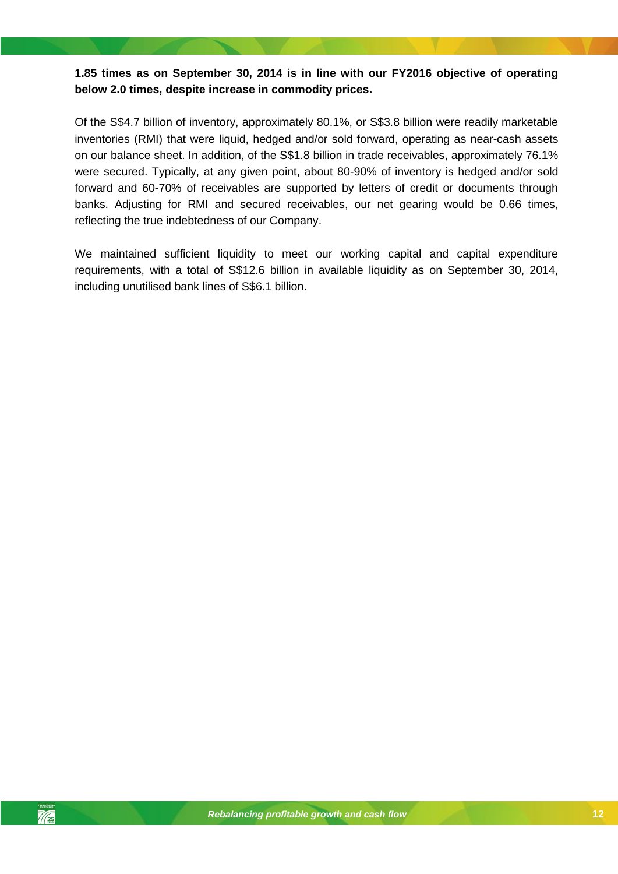## **1.85 times as on September 30, 2014 is in line with our FY2016 objective of operating below 2.0 times, despite increase in commodity prices.**

Of the S\$4.7 billion of inventory, approximately 80.1%, or S\$3.8 billion were readily marketable inventories (RMI) that were liquid, hedged and/or sold forward, operating as near-cash assets on our balance sheet. In addition, of the S\$1.8 billion in trade receivables, approximately 76.1% were secured. Typically, at any given point, about 80-90% of inventory is hedged and/or sold forward and 60-70% of receivables are supported by letters of credit or documents through banks. Adjusting for RMI and secured receivables, our net gearing would be 0.66 times, reflecting the true indebtedness of our Company.

We maintained sufficient liquidity to meet our working capital and capital expenditure requirements, with a total of S\$12.6 billion in available liquidity as on September 30, 2014, including unutilised bank lines of S\$6.1 billion.

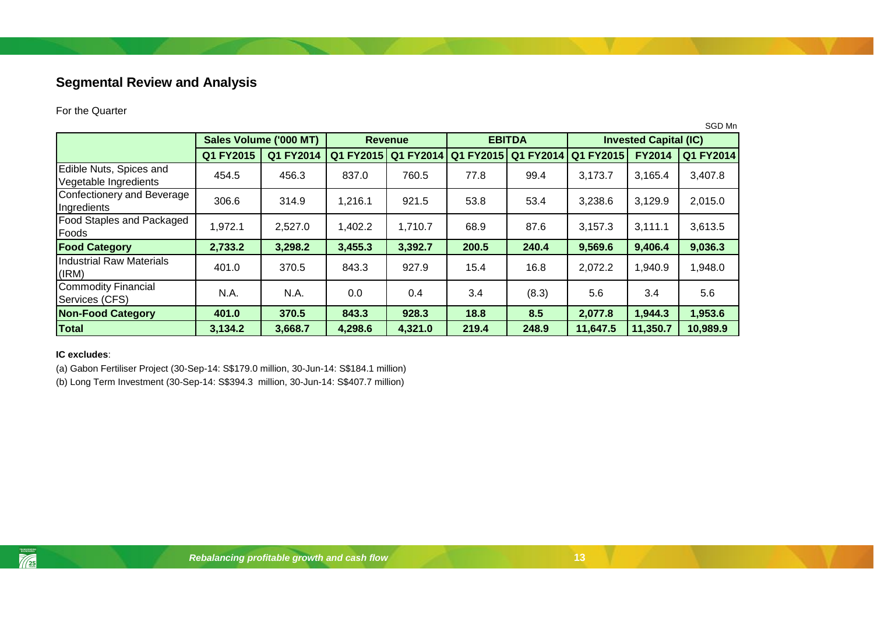# **Segmental Review and Analysis**

#### For the Quarter

|                                                  |                        |           |                |           |               |           |                              |               | SGD Mn    |
|--------------------------------------------------|------------------------|-----------|----------------|-----------|---------------|-----------|------------------------------|---------------|-----------|
|                                                  | Sales Volume ('000 MT) |           | <b>Revenue</b> |           | <b>EBITDA</b> |           | <b>Invested Capital (IC)</b> |               |           |
|                                                  | Q1 FY2015              | Q1 FY2014 | Q1 FY2015      | Q1 FY2014 | Q1 FY2015     | Q1 FY2014 | Q1 FY2015                    | <b>FY2014</b> | Q1 FY2014 |
| Edible Nuts, Spices and<br>Vegetable Ingredients | 454.5                  | 456.3     | 837.0          | 760.5     | 77.8          | 99.4      | 3,173.7                      | 3,165.4       | 3,407.8   |
| Confectionery and Beverage<br>Ingredients        | 306.6                  | 314.9     | 1,216.1        | 921.5     | 53.8          | 53.4      | 3,238.6                      | 3,129.9       | 2,015.0   |
| <b>Food Staples and Packaged</b><br>Foods        | 1,972.1                | 2,527.0   | 1,402.2        | 1,710.7   | 68.9          | 87.6      | 3,157.3                      | 3,111.1       | 3,613.5   |
| <b>Food Category</b>                             | 2,733.2                | 3,298.2   | 3,455.3        | 3,392.7   | 200.5         | 240.4     | 9,569.6                      | 9,406.4       | 9,036.3   |
| <b>Industrial Raw Materials</b><br>(IRM)         | 401.0                  | 370.5     | 843.3          | 927.9     | 15.4          | 16.8      | 2,072.2                      | 1,940.9       | 1,948.0   |
| Commodity Financial<br>Services (CFS)            | N.A.                   | N.A.      | 0.0            | 0.4       | 3.4           | (8.3)     | 5.6                          | 3.4           | 5.6       |
| <b>Non-Food Category</b>                         | 401.0                  | 370.5     | 843.3          | 928.3     | 18.8          | 8.5       | 2,077.8                      | 1,944.3       | 1,953.6   |
| <b>Total</b>                                     | 3,134.2                | 3,668.7   | 4,298.6        | 4,321.0   | 219.4         | 248.9     | 11,647.5                     | 11,350.7      | 10,989.9  |

#### <span id="page-12-0"></span>**IC excludes**:

 $\frac{1}{\sqrt{25}}$ 

(a) Gabon Fertiliser Project (30-Sep-14: S\$179.0 million, 30-Jun-14: S\$184.1 million)

(b) Long Term Investment (30-Sep-14: S\$394.3 million, 30-Jun-14: S\$407.7 million)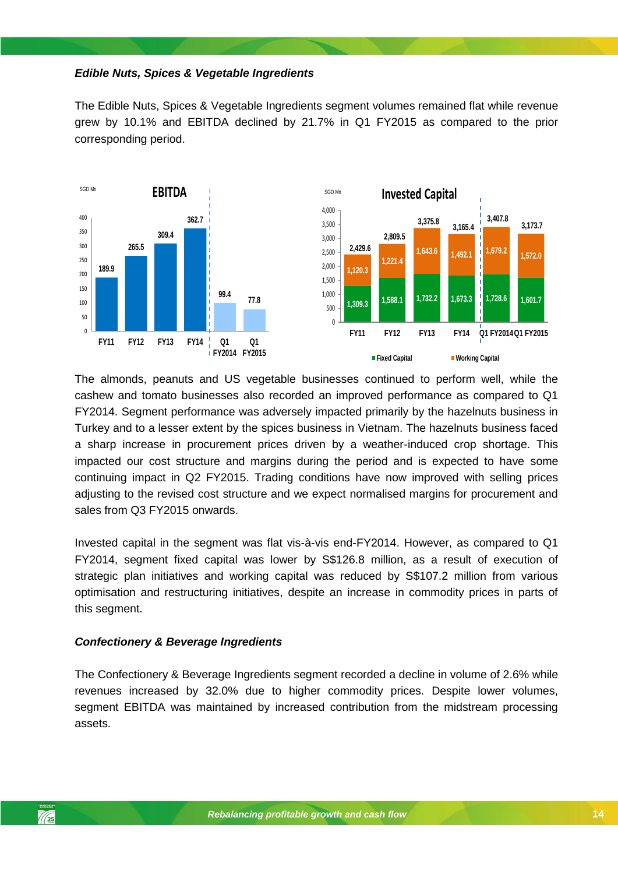#### *Edible Nuts, Spices & Vegetable Ingredients*

The Edible Nuts, Spices & Vegetable Ingredients segment volumes remained flat while revenue grew by 10.1% and EBITDA declined by 21.7% in Q1 FY2015 as compared to the prior corresponding period.



continuing impact in Q2 FY2015. Trading conditions have now improved with selling prices The almonds, peanuts and US vegetable businesses continued to perform well, while the cashew and tomato businesses also recorded an improved performance as compared to Q1 FY2014. Segment performance was adversely impacted primarily by the hazelnuts business in Turkey and to a lesser extent by the spices business in Vietnam. The hazelnuts business faced a sharp increase in procurement prices driven by a weather-induced crop shortage. This impacted our cost structure and margins during the period and is expected to have some adjusting to the revised cost structure and we expect normalised margins for procurement and sales from Q3 FY2015 onwards.

Invested capital in the segment was flat vis-à-vis end-FY2014. However, as compared to Q1 FY2014, segment fixed capital was lower by S\$126.8 million, as a result of execution of strategic plan initiatives and working capital was reduced by S\$107.2 million from various optimisation and restructuring initiatives, despite an increase in commodity prices in parts of this segment.

#### *Confectionery & Beverage Ingredients*

The Confectionery & Beverage Ingredients segment recorded a decline in volume of 2.6% while revenues increased by 32.0% due to higher commodity prices. Despite lower volumes, segment EBITDA was maintained by increased contribution from the midstream processing assets.

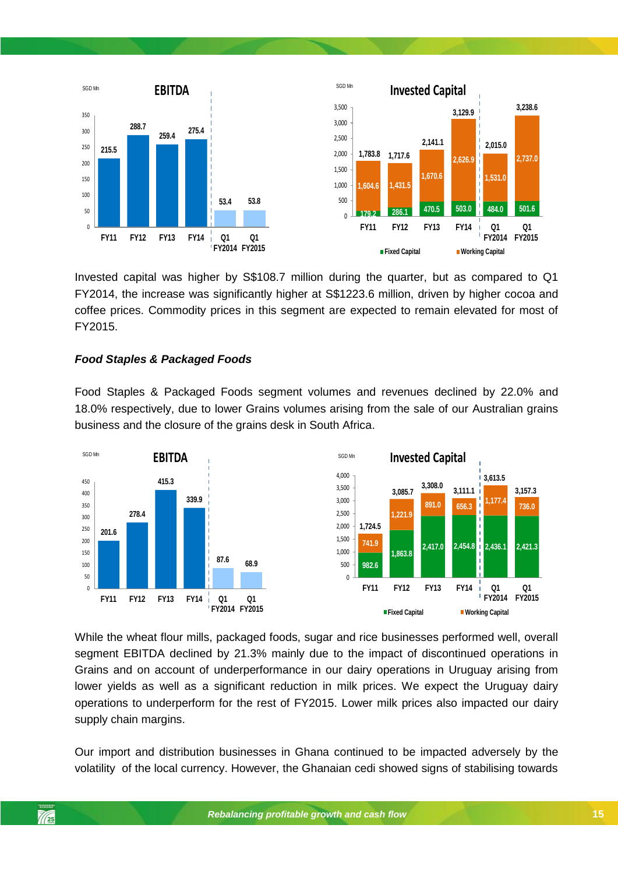

Invested capital was higher by S\$108.7 million during the quarter, but as compared to Q1 FY2014, the increase was significantly higher at S\$1223.6 million, driven by higher cocoa and coffee prices. Commodity prices in this segment are expected to remain elevated for most of FY2015.

## *Food Staples & Packaged Foods*

Food Staples & Packaged Foods segment volumes and revenues declined by 22.0% and 18.0% respectively, due to lower Grains volumes arising from the sale of our Australian grains business and the closure of the grains desk in South Africa.



While the wheat flour mills, packaged foods, sugar and rice businesses performed well, overall segment EBITDA declined by 21.3% mainly due to the impact of discontinued operations in Grains and on account of underperformance in our dairy operations in Uruguay arising from lower yields as well as a significant reduction in milk prices. We expect the Uruguay dairy operations to underperform for the rest of FY2015. Lower milk prices also impacted our dairy supply chain margins.

Our import and distribution businesses in Ghana continued to be impacted adversely by the volatility of the local currency. However, the Ghanaian cedi showed signs of stabilising towards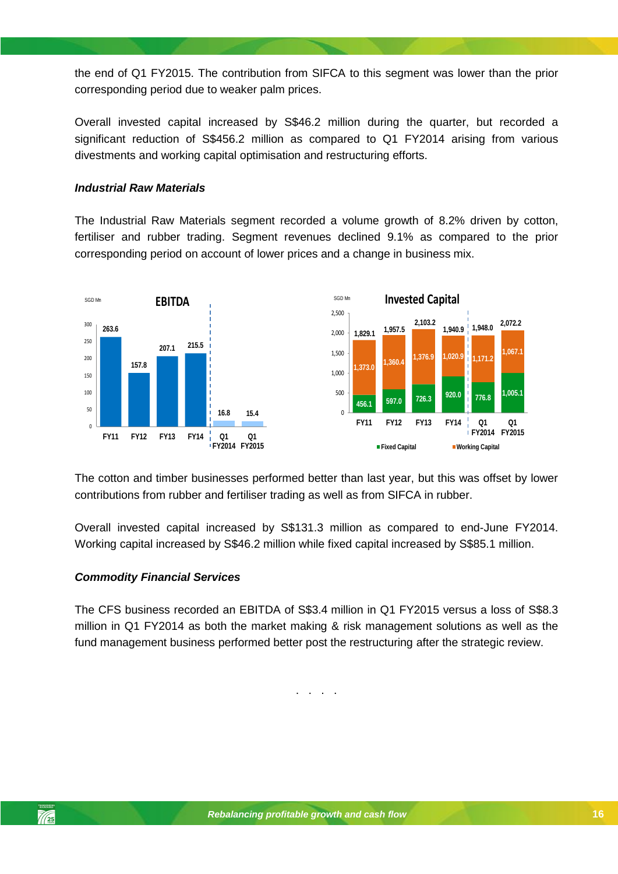the end of Q1 FY2015. The contribution from SIFCA to this segment was lower than the prior corresponding period due to weaker palm prices.

Overall invested capital increased by S\$46.2 million during the quarter, but recorded a significant reduction of S\$456.2 million as compared to Q1 FY2014 arising from various divestments and working capital optimisation and restructuring efforts.

### *Industrial Raw Materials*

The Industrial Raw Materials segment recorded a volume growth of 8.2% driven by cotton, fertiliser and rubber trading. Segment revenues declined 9.1% as compared to the prior corresponding period on account of lower prices and a change in business mix.



The cotton and timber businesses performed better than last year, but this was offset by lower contributions from rubber and fertiliser trading as well as from SIFCA in rubber.

Overall invested capital increased by S\$131.3 million as compared to end-June FY2014. Working capital increased by S\$46.2 million while fixed capital increased by S\$85.1 million.

#### *Commodity Financial Services*

The CFS business recorded an EBITDA of S\$3.4 million in Q1 FY2015 versus a loss of S\$8.3 million in Q1 FY2014 as both the market making & risk management solutions as well as the fund management business performed better post the restructuring after the strategic review.

. . . .

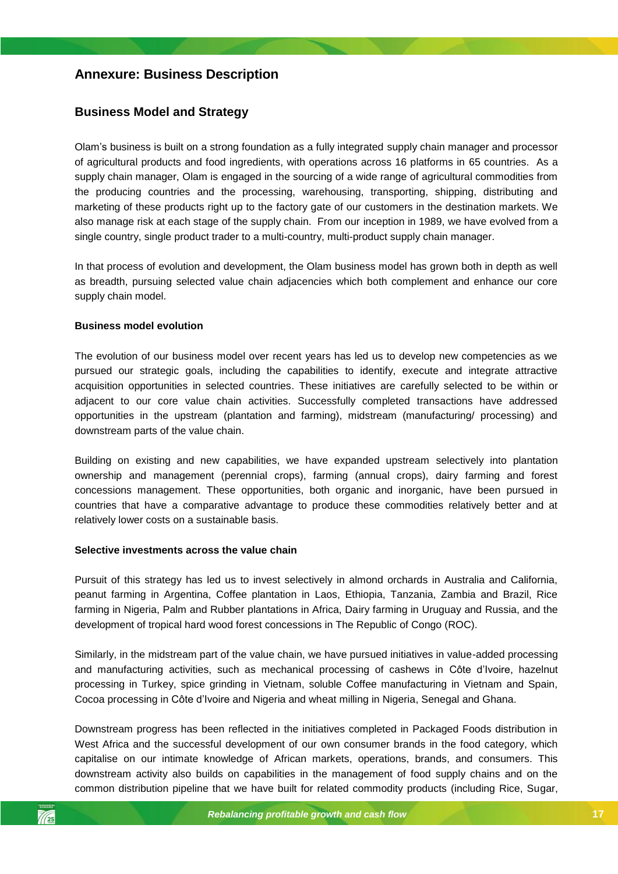# <span id="page-16-0"></span>**Annexure: Business Description**

## <span id="page-16-1"></span>**Business Model and Strategy**

Olam's business is built on a strong foundation as a fully integrated supply chain manager and processor of agricultural products and food ingredients, with operations across 16 platforms in 65 countries. As a supply chain manager, Olam is engaged in the sourcing of a wide range of agricultural commodities from the producing countries and the processing, warehousing, transporting, shipping, distributing and marketing of these products right up to the factory gate of our customers in the destination markets. We also manage risk at each stage of the supply chain. From our inception in 1989, we have evolved from a single country, single product trader to a multi-country, multi-product supply chain manager.

In that process of evolution and development, the Olam business model has grown both in depth as well as breadth, pursuing selected value chain adjacencies which both complement and enhance our core supply chain model.

#### **Business model evolution**

The evolution of our business model over recent years has led us to develop new competencies as we pursued our strategic goals, including the capabilities to identify, execute and integrate attractive acquisition opportunities in selected countries. These initiatives are carefully selected to be within or adjacent to our core value chain activities. Successfully completed transactions have addressed opportunities in the upstream (plantation and farming), midstream (manufacturing/ processing) and downstream parts of the value chain.

*Rebalancing profitable growth and cash flow* concessions management. These opportunities, both organic and inorganic, have been pursued in Building on existing and new capabilities, we have expanded upstream selectively into plantation ownership and management (perennial crops), farming (annual crops), dairy farming and forest countries that have a comparative advantage to produce these commodities relatively better and at relatively lower costs on a sustainable basis.

#### **Selective investments across the value chain**

Pursuit of this strategy has led us to invest selectively in almond orchards in Australia and California, peanut farming in Argentina, Coffee plantation in Laos, Ethiopia, Tanzania, Zambia and Brazil, Rice farming in Nigeria, Palm and Rubber plantations in Africa, Dairy farming in Uruguay and Russia, and the development of tropical hard wood forest concessions in The Republic of Congo (ROC).

Similarly, in the midstream part of the value chain, we have pursued initiatives in value-added processing and manufacturing activities, such as mechanical processing of cashews in Côte d'Ivoire, hazelnut processing in Turkey, spice grinding in Vietnam, soluble Coffee manufacturing in Vietnam and Spain, Cocoa processing in Côte d'Ivoire and Nigeria and wheat milling in Nigeria, Senegal and Ghana.

Downstream progress has been reflected in the initiatives completed in Packaged Foods distribution in West Africa and the successful development of our own consumer brands in the food category, which capitalise on our intimate knowledge of African markets, operations, brands, and consumers. This downstream activity also builds on capabilities in the management of food supply chains and on the common distribution pipeline that we have built for related commodity products (including Rice, Sugar,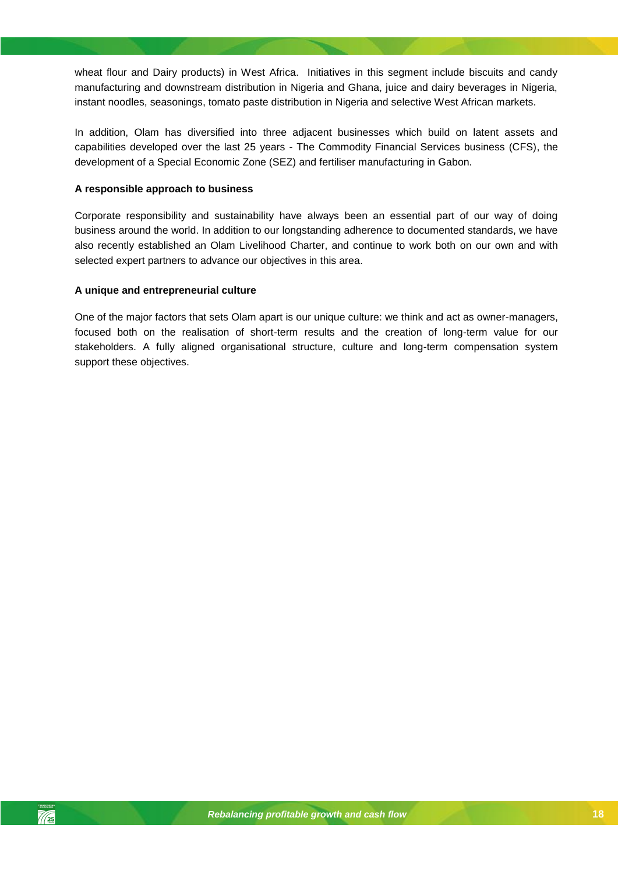wheat flour and Dairy products) in West Africa. Initiatives in this segment include biscuits and candy manufacturing and downstream distribution in Nigeria and Ghana, juice and dairy beverages in Nigeria, instant noodles, seasonings, tomato paste distribution in Nigeria and selective West African markets.

In addition, Olam has diversified into three adjacent businesses which build on latent assets and capabilities developed over the last 25 years - The Commodity Financial Services business (CFS), the development of a Special Economic Zone (SEZ) and fertiliser manufacturing in Gabon.

#### **A responsible approach to business**

Corporate responsibility and sustainability have always been an essential part of our way of doing business around the world. In addition to our longstanding adherence to documented standards, we have also recently established an Olam Livelihood Charter, and continue to work both on our own and with selected expert partners to advance our objectives in this area.

#### **A unique and entrepreneurial culture**

One of the major factors that sets Olam apart is our unique culture: we think and act as owner-managers, focused both on the realisation of short-term results and the creation of long-term value for our stakeholders. A fully aligned organisational structure, culture and long-term compensation system support these objectives.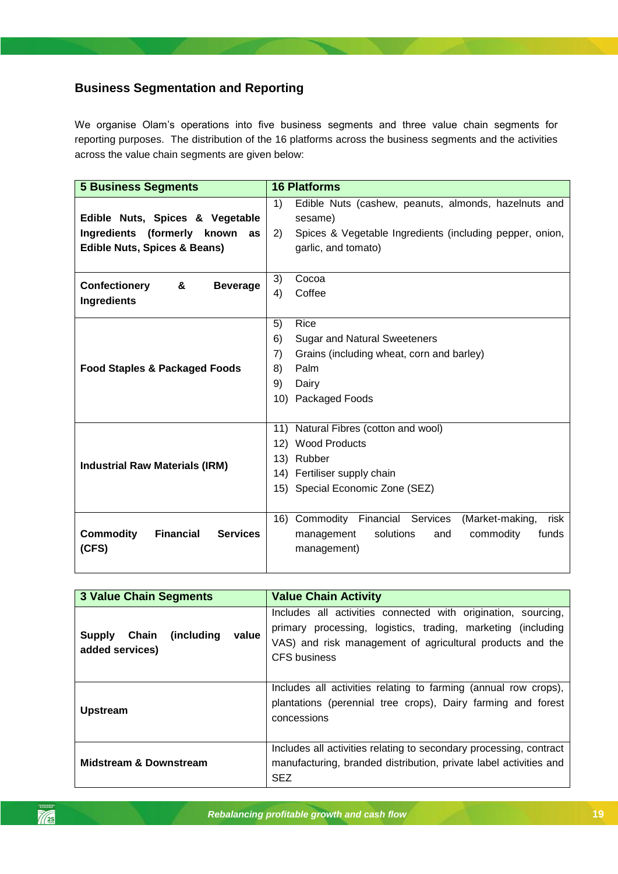# <span id="page-18-0"></span>**Business Segmentation and Reporting**

We organise Olam's operations into five business segments and three value chain segments for reporting purposes. The distribution of the 16 platforms across the business segments and the activities across the value chain segments are given below:

| <b>5 Business Segments</b>                              | <b>16 Platforms</b>                                            |
|---------------------------------------------------------|----------------------------------------------------------------|
|                                                         | 1)<br>Edible Nuts (cashew, peanuts, almonds, hazelnuts and     |
| Edible Nuts, Spices & Vegetable                         | sesame)                                                        |
| Ingredients (formerly known<br>as                       | 2)<br>Spices & Vegetable Ingredients (including pepper, onion, |
| <b>Edible Nuts, Spices &amp; Beans)</b>                 | garlic, and tomato)                                            |
|                                                         |                                                                |
| <b>Confectionery</b><br>&<br><b>Beverage</b>            | 3)<br>Cocoa                                                    |
| Ingredients                                             | 4)<br>Coffee                                                   |
|                                                         |                                                                |
|                                                         | Rice<br>5)                                                     |
|                                                         | 6)<br><b>Sugar and Natural Sweeteners</b>                      |
|                                                         | 7)<br>Grains (including wheat, corn and barley)                |
| <b>Food Staples &amp; Packaged Foods</b>                | Palm<br>8)                                                     |
|                                                         | 9)<br>Dairy                                                    |
|                                                         | 10) Packaged Foods                                             |
|                                                         |                                                                |
|                                                         | 11) Natural Fibres (cotton and wool)                           |
|                                                         | 12) Wood Products                                              |
|                                                         | 13) Rubber                                                     |
| <b>Industrial Raw Materials (IRM)</b>                   | 14) Fertiliser supply chain                                    |
|                                                         | 15) Special Economic Zone (SEZ)                                |
|                                                         |                                                                |
|                                                         | 16) Commodity Financial Services<br>(Market-making,<br>risk    |
| <b>Commodity</b><br><b>Financial</b><br><b>Services</b> | solutions<br>commodity<br>funds<br>management<br>and           |
| (CFS)                                                   | management)                                                    |
|                                                         |                                                                |

| <b>3 Value Chain Segments</b>                                     | <b>Value Chain Activity</b>                                                                                                                                                                                |  |  |  |
|-------------------------------------------------------------------|------------------------------------------------------------------------------------------------------------------------------------------------------------------------------------------------------------|--|--|--|
| (including)<br>Chain<br>value<br><b>Supply</b><br>added services) | Includes all activities connected with origination, sourcing,<br>primary processing, logistics, trading, marketing (including<br>VAS) and risk management of agricultural products and the<br>CFS business |  |  |  |
| <b>Upstream</b>                                                   | Includes all activities relating to farming (annual row crops),<br>plantations (perennial tree crops), Dairy farming and forest<br>concessions                                                             |  |  |  |
| <b>Midstream &amp; Downstream</b>                                 | Includes all activities relating to secondary processing, contract<br>manufacturing, branded distribution, private label activities and<br><b>SEZ</b>                                                      |  |  |  |

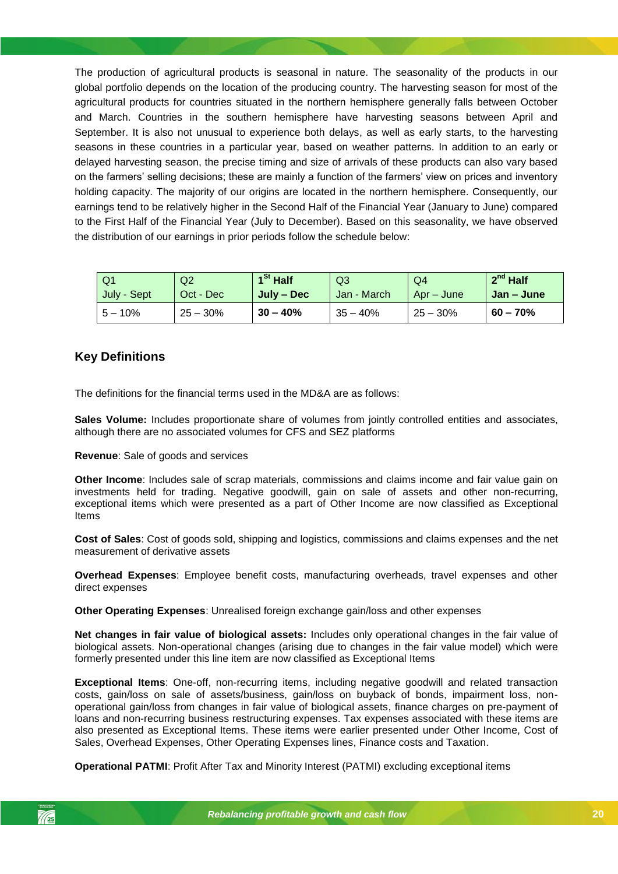The production of agricultural products is seasonal in nature. The seasonality of the products in our global portfolio depends on the location of the producing country. The harvesting season for most of the agricultural products for countries situated in the northern hemisphere generally falls between October and March. Countries in the southern hemisphere have harvesting seasons between April and September. It is also not unusual to experience both delays, as well as early starts, to the harvesting seasons in these countries in a particular year, based on weather patterns. In addition to an early or delayed harvesting season, the precise timing and size of arrivals of these products can also vary based on the farmers' selling decisions; these are mainly a function of the farmers' view on prices and inventory holding capacity. The majority of our origins are located in the northern hemisphere. Consequently, our earnings tend to be relatively higher in the Second Half of the Financial Year (January to June) compared to the First Half of the Financial Year (July to December). Based on this seasonality, we have observed the distribution of our earnings in prior periods follow the schedule below:

| Q <sub>1</sub> | Q <sub>2</sub> | $1St$ Half | Q <sub>3</sub> | Q <sub>4</sub> | $2^{nd}$ Half |
|----------------|----------------|------------|----------------|----------------|---------------|
| July - Sept    | Oct - Dec      | July – Dec | Jan - March    | Apr – June     | Jan – June    |
| $5 - 10\%$     | $25 - 30%$     | $30 - 40%$ | $35 - 40%$     | $25 - 30%$     | $60 - 70%$    |

## <span id="page-19-0"></span>**Key Definitions**

The definitions for the financial terms used in the MD&A are as follows:

**Sales Volume:** Includes proportionate share of volumes from jointly controlled entities and associates, although there are no associated volumes for CFS and SEZ platforms

**Revenue**: Sale of goods and services

**Other Income**: Includes sale of scrap materials, commissions and claims income and fair value gain on investments held for trading. Negative goodwill, gain on sale of assets and other non-recurring, exceptional items which were presented as a part of Other Income are now classified as Exceptional Items

**Cost of Sales**: Cost of goods sold, shipping and logistics, commissions and claims expenses and the net measurement of derivative assets

**Overhead Expenses**: Employee benefit costs, manufacturing overheads, travel expenses and other direct expenses

**Other Operating Expenses**: Unrealised foreign exchange gain/loss and other expenses

**Net changes in fair value of biological assets:** Includes only operational changes in the fair value of biological assets. Non-operational changes (arising due to changes in the fair value model) which were formerly presented under this line item are now classified as Exceptional Items

**Exceptional Items**: One-off, non-recurring items, including negative goodwill and related transaction costs, gain/loss on sale of assets/business, gain/loss on buyback of bonds, impairment loss, nonoperational gain/loss from changes in fair value of biological assets, finance charges on pre-payment of loans and non-recurring business restructuring expenses. Tax expenses associated with these items are also presented as Exceptional Items. These items were earlier presented under Other Income, Cost of Sales, Overhead Expenses, Other Operating Expenses lines, Finance costs and Taxation.

**Operational PATMI**: Profit After Tax and Minority Interest (PATMI) excluding exceptional items